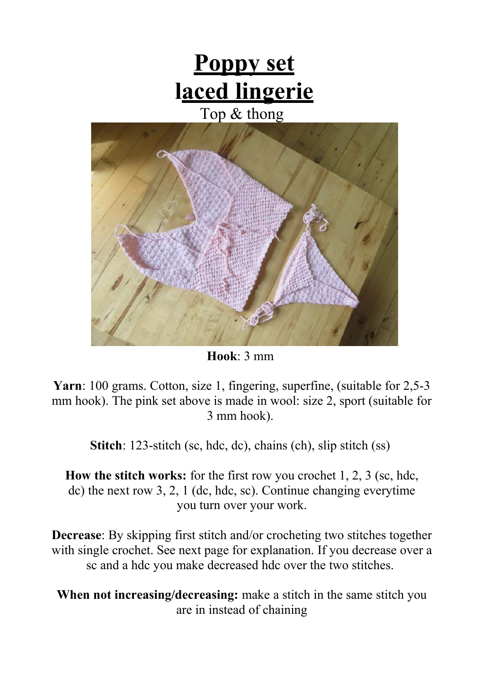# **Poppy set laced lingerie** Top & thong

**Hook**: 3 mm

**Yarn**: 100 grams. Cotton, size 1, fingering, superfine, (suitable for 2,5-3 mm hook). The pink set above is made in wool: size 2, sport (suitable for 3 mm hook).

**Stitch**: 123-stitch (sc, hdc, dc), chains (ch), slip stitch (ss)

**How the stitch works:** for the first row you crochet 1, 2, 3 (sc, hdc, dc) the next row 3, 2, 1 (dc, hdc, sc). Continue changing everytime you turn over your work.

**Decrease**: By skipping first stitch and/or crocheting two stitches together with single crochet. See next page for explanation. If you decrease over a sc and a hdc you make decreased hdc over the two stitches.

**When not increasing/decreasing:** make a stitch in the same stitch you are in instead of chaining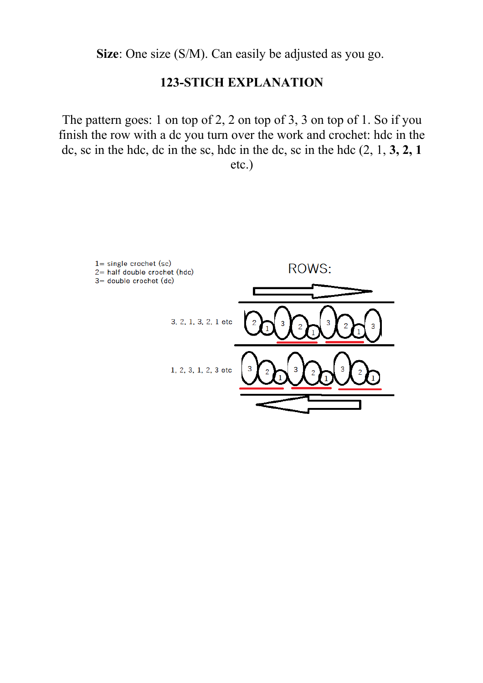**Size**: One size (S/M). Can easily be adjusted as you go.

### **123-STICH EXPLANATION**

The pattern goes: 1 on top of 2, 2 on top of 3, 3 on top of 1. So if you finish the row with a dc you turn over the work and crochet: hdc in the dc, sc in the hdc, dc in the sc, hdc in the dc, sc in the hdc (2, 1, **3, 2, 1**

etc.)

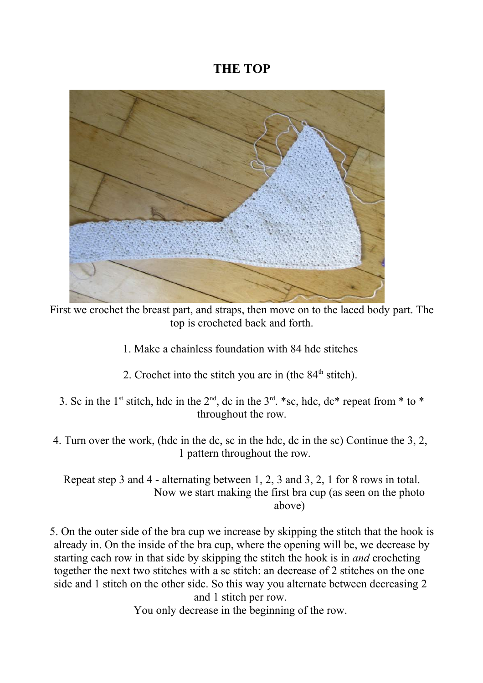### **THE TOP**



First we crochet the breast part, and straps, then move on to the laced body part. The top is crocheted back and forth.

- 1. Make a chainless foundation with 84 hdc stitches
- 2. Crochet into the stitch you are in (the  $84<sup>th</sup>$  stitch).
- 3. Sc in the 1<sup>st</sup> stitch, hdc in the  $2<sup>nd</sup>$ , dc in the  $3<sup>rd</sup>$ . \*sc, hdc, dc\* repeat from \* to \* throughout the row.
- 4. Turn over the work, (hdc in the dc, sc in the hdc, dc in the sc) Continue the 3, 2, 1 pattern throughout the row.

Repeat step 3 and 4 - alternating between 1, 2, 3 and 3, 2, 1 for 8 rows in total. Now we start making the first bra cup (as seen on the photo above)

5. On the outer side of the bra cup we increase by skipping the stitch that the hook is already in. On the inside of the bra cup, where the opening will be, we decrease by starting each row in that side by skipping the stitch the hook is in *and* crocheting together the next two stitches with a sc stitch: an decrease of 2 stitches on the one side and 1 stitch on the other side. So this way you alternate between decreasing 2 and 1 stitch per row.

You only decrease in the beginning of the row.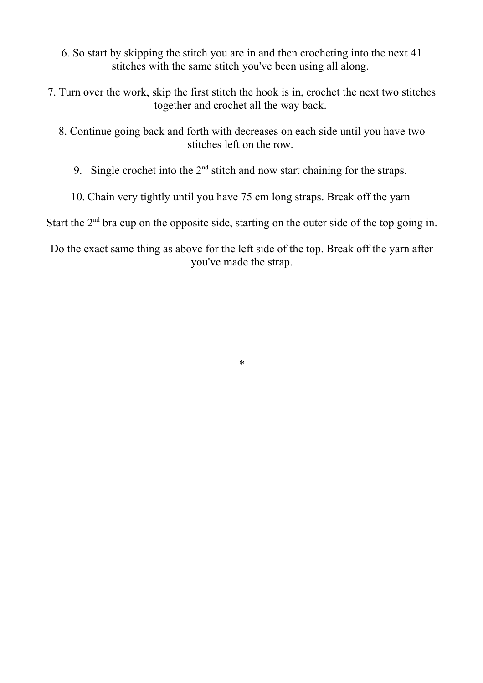- 6. So start by skipping the stitch you are in and then crocheting into the next 41 stitches with the same stitch you've been using all along.
- 7. Turn over the work, skip the first stitch the hook is in, crochet the next two stitches together and crochet all the way back.
	- 8. Continue going back and forth with decreases on each side until you have two stitches left on the row.
		- 9. Single crochet into the  $2<sup>nd</sup>$  stitch and now start chaining for the straps.
		- 10. Chain very tightly until you have 75 cm long straps. Break off the yarn

Start the  $2<sup>nd</sup>$  bra cup on the opposite side, starting on the outer side of the top going in.

Do the exact same thing as above for the left side of the top. Break off the yarn after you've made the strap.

\*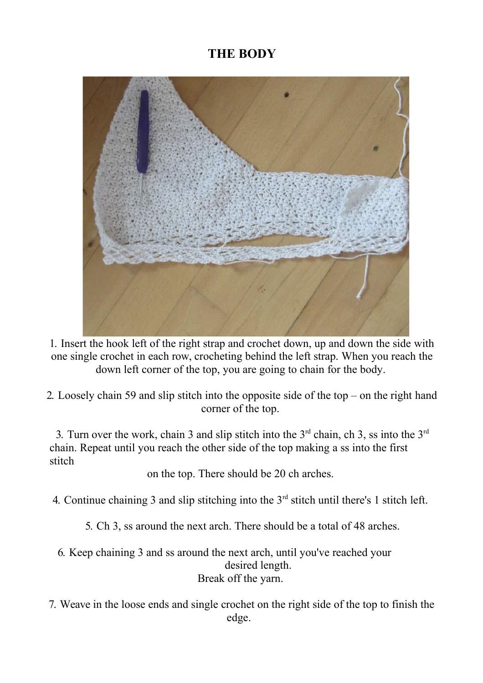## **THE BODY**



1. Insert the hook left of the right strap and crochet down, up and down the side with one single crochet in each row, crocheting behind the left strap. When you reach the down left corner of the top, you are going to chain for the body.

2. Loosely chain 59 and slip stitch into the opposite side of the top – on the right hand corner of the top.

3. Turn over the work, chain 3 and slip stitch into the  $3<sup>rd</sup>$  chain, ch 3, ss into the  $3<sup>rd</sup>$ chain. Repeat until you reach the other side of the top making a ss into the first stitch

on the top. There should be 20 ch arches.

4. Continue chaining 3 and slip stitching into the  $3<sup>rd</sup>$  stitch until there's 1 stitch left.

5. Ch 3, ss around the next arch. There should be a total of 48 arches.

- 6. Keep chaining 3 and ss around the next arch, until you've reached your desired length. Break off the yarn.
- 7. Weave in the loose ends and single crochet on the right side of the top to finish the edge.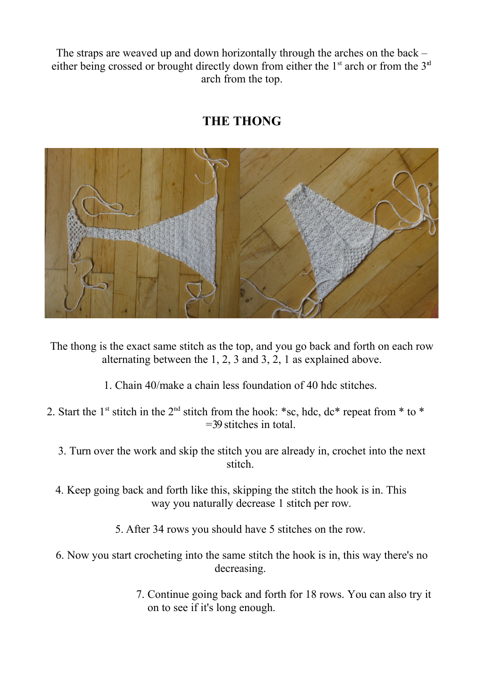The straps are weaved up and down horizontally through the arches on the back – either being crossed or brought directly down from either the  $1<sup>st</sup>$  arch or from the  $3<sup>st</sup>$ arch from the top.

# **THE THONG**



The thong is the exact same stitch as the top, and you go back and forth on each row alternating between the 1, 2, 3 and 3, 2, 1 as explained above.

- 1. Chain 40/make a chain less foundation of 40 hdc stitches.
- 2. Start the 1<sup>st</sup> stitch in the 2<sup>nd</sup> stitch from the hook: \*sc, hdc, dc\* repeat from \* to \* =39 stitches in total.
	- 3. Turn over the work and skip the stitch you are already in, crochet into the next stitch.
	- 4. Keep going back and forth like this, skipping the stitch the hook is in. This way you naturally decrease 1 stitch per row.
		- 5. After 34 rows you should have 5 stitches on the row.
	- 6. Now you start crocheting into the same stitch the hook is in, this way there's no decreasing.
		- 7. Continue going back and forth for 18 rows. You can also try it on to see if it's long enough.